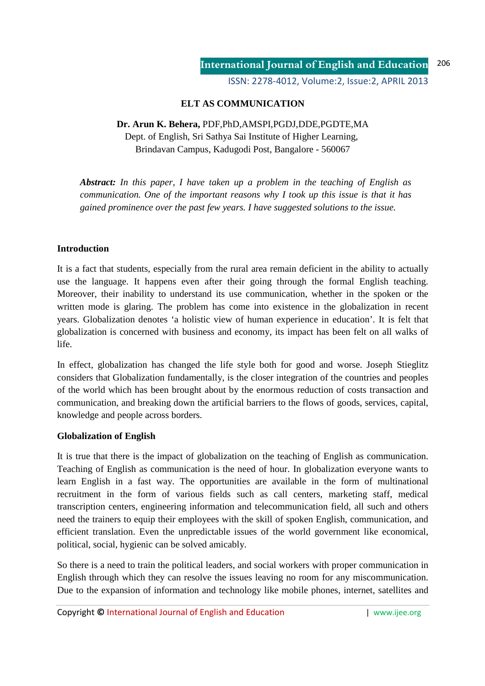ISSN: 2278-4012, Volume:2, Issue:2, APRIL 2013

# **ELT AS COMMUNICATION**

# **Dr. Arun K. Behera,** PDF,PhD,AMSPI,PGDJ,DDE,PGDTE,MA Dept. of English, Sri Sathya Sai Institute of Higher Learning, Brindavan Campus, Kadugodi Post, Bangalore - 560067

*Abstract: In this paper, I have taken up a problem in the teaching of English as communication. One of the important reasons why I took up this issue is that it has gained prominence over the past few years. I have suggested solutions to the issue.* 

## **Introduction**

It is a fact that students, especially from the rural area remain deficient in the ability to actually use the language. It happens even after their going through the formal English teaching. Moreover, their inability to understand its use communication, whether in the spoken or the written mode is glaring. The problem has come into existence in the globalization in recent years. Globalization denotes 'a holistic view of human experience in education'. It is felt that globalization is concerned with business and economy, its impact has been felt on all walks of life.

In effect, globalization has changed the life style both for good and worse. Joseph Stieglitz considers that Globalization fundamentally, is the closer integration of the countries and peoples of the world which has been brought about by the enormous reduction of costs transaction and communication, and breaking down the artificial barriers to the flows of goods, services, capital, knowledge and people across borders.

### **Globalization of English**

It is true that there is the impact of globalization on the teaching of English as communication. Teaching of English as communication is the need of hour. In globalization everyone wants to learn English in a fast way. The opportunities are available in the form of multinational recruitment in the form of various fields such as call centers, marketing staff, medical transcription centers, engineering information and telecommunication field, all such and others need the trainers to equip their employees with the skill of spoken English, communication, and efficient translation. Even the unpredictable issues of the world government like economical, political, social, hygienic can be solved amicably.

So there is a need to train the political leaders, and social workers with proper communication in English through which they can resolve the issues leaving no room for any miscommunication. Due to the expansion of information and technology like mobile phones, internet, satellites and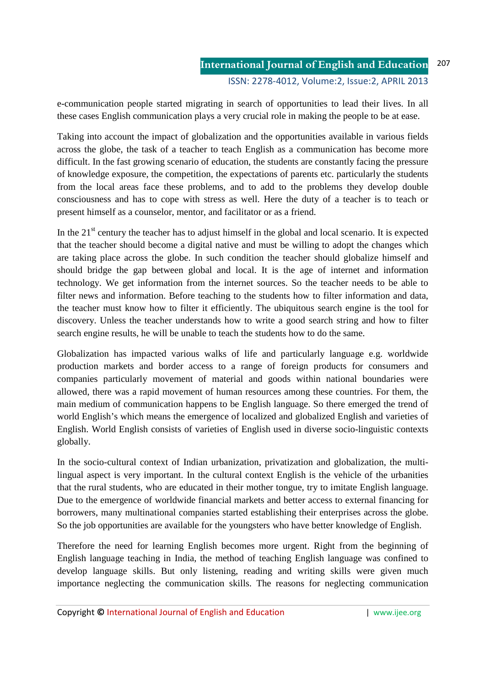e-communication people started migrating in search of opportunities to lead their lives. In all these cases English communication plays a very crucial role in making the people to be at ease.

Taking into account the impact of globalization and the opportunities available in various fields across the globe, the task of a teacher to teach English as a communication has become more difficult. In the fast growing scenario of education, the students are constantly facing the pressure of knowledge exposure, the competition, the expectations of parents etc. particularly the students from the local areas face these problems, and to add to the problems they develop double consciousness and has to cope with stress as well. Here the duty of a teacher is to teach or present himself as a counselor, mentor, and facilitator or as a friend.

In the  $21<sup>st</sup>$  century the teacher has to adjust himself in the global and local scenario. It is expected that the teacher should become a digital native and must be willing to adopt the changes which are taking place across the globe. In such condition the teacher should globalize himself and should bridge the gap between global and local. It is the age of internet and information technology. We get information from the internet sources. So the teacher needs to be able to filter news and information. Before teaching to the students how to filter information and data, the teacher must know how to filter it efficiently. The ubiquitous search engine is the tool for discovery. Unless the teacher understands how to write a good search string and how to filter search engine results, he will be unable to teach the students how to do the same.

Globalization has impacted various walks of life and particularly language e.g. worldwide production markets and border access to a range of foreign products for consumers and companies particularly movement of material and goods within national boundaries were allowed, there was a rapid movement of human resources among these countries. For them, the main medium of communication happens to be English language. So there emerged the trend of world English's which means the emergence of localized and globalized English and varieties of English. World English consists of varieties of English used in diverse socio-linguistic contexts globally.

In the socio-cultural context of Indian urbanization, privatization and globalization, the multilingual aspect is very important. In the cultural context English is the vehicle of the urbanities that the rural students, who are educated in their mother tongue, try to imitate English language. Due to the emergence of worldwide financial markets and better access to external financing for borrowers, many multinational companies started establishing their enterprises across the globe. So the job opportunities are available for the youngsters who have better knowledge of English.

Therefore the need for learning English becomes more urgent. Right from the beginning of English language teaching in India, the method of teaching English language was confined to develop language skills. But only listening, reading and writing skills were given much importance neglecting the communication skills. The reasons for neglecting communication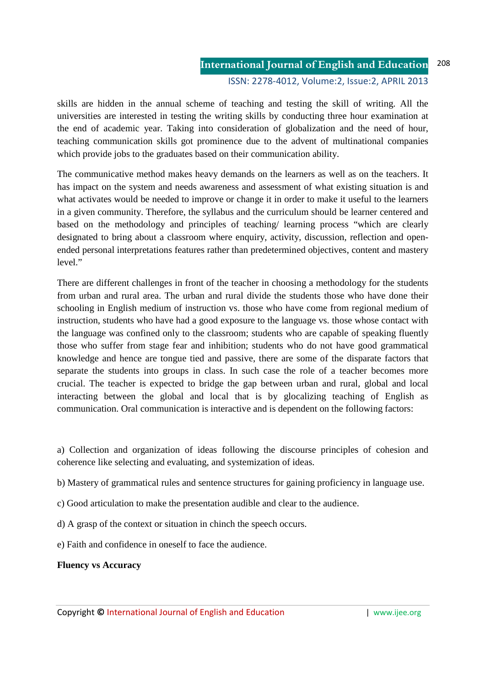#### **International Journal of English and Education** ISSN: 2278-4012, Volume:2, Issue:2, APRIL 2013 208

skills are hidden in the annual scheme of teaching and testing the skill of writing. All the universities are interested in testing the writing skills by conducting three hour examination at the end of academic year. Taking into consideration of globalization and the need of hour, teaching communication skills got prominence due to the advent of multinational companies which provide jobs to the graduates based on their communication ability.

The communicative method makes heavy demands on the learners as well as on the teachers. It has impact on the system and needs awareness and assessment of what existing situation is and what activates would be needed to improve or change it in order to make it useful to the learners in a given community. Therefore, the syllabus and the curriculum should be learner centered and based on the methodology and principles of teaching/ learning process "which are clearly designated to bring about a classroom where enquiry, activity, discussion, reflection and openended personal interpretations features rather than predetermined objectives, content and mastery level."

There are different challenges in front of the teacher in choosing a methodology for the students from urban and rural area. The urban and rural divide the students those who have done their schooling in English medium of instruction vs. those who have come from regional medium of instruction, students who have had a good exposure to the language vs. those whose contact with the language was confined only to the classroom; students who are capable of speaking fluently those who suffer from stage fear and inhibition; students who do not have good grammatical knowledge and hence are tongue tied and passive, there are some of the disparate factors that separate the students into groups in class. In such case the role of a teacher becomes more crucial. The teacher is expected to bridge the gap between urban and rural, global and local interacting between the global and local that is by glocalizing teaching of English as communication. Oral communication is interactive and is dependent on the following factors:

a) Collection and organization of ideas following the discourse principles of cohesion and coherence like selecting and evaluating, and systemization of ideas.

b) Mastery of grammatical rules and sentence structures for gaining proficiency in language use.

- c) Good articulation to make the presentation audible and clear to the audience.
- d) A grasp of the context or situation in chinch the speech occurs.
- e) Faith and confidence in oneself to face the audience.

### **Fluency vs Accuracy**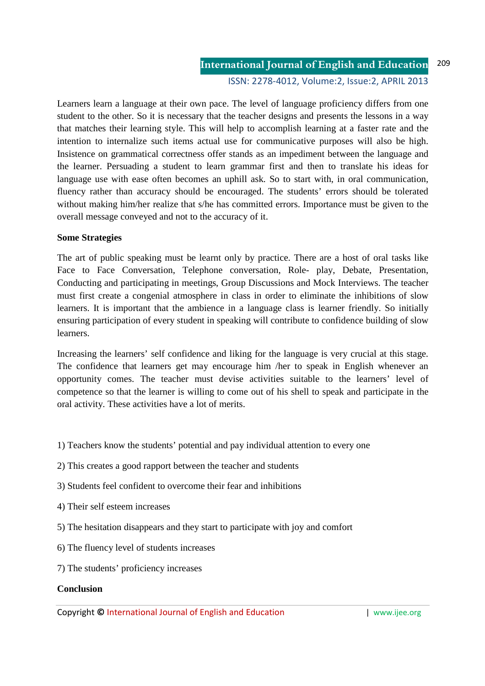**International Journal of English and Education** ISSN: 2278-4012, Volume:2, Issue:2, APRIL 2013 209

Learners learn a language at their own pace. The level of language proficiency differs from one student to the other. So it is necessary that the teacher designs and presents the lessons in a way that matches their learning style. This will help to accomplish learning at a faster rate and the intention to internalize such items actual use for communicative purposes will also be high. Insistence on grammatical correctness offer stands as an impediment between the language and the learner. Persuading a student to learn grammar first and then to translate his ideas for language use with ease often becomes an uphill ask. So to start with, in oral communication, fluency rather than accuracy should be encouraged. The students' errors should be tolerated without making him/her realize that s/he has committed errors. Importance must be given to the overall message conveyed and not to the accuracy of it.

#### **Some Strategies**

The art of public speaking must be learnt only by practice. There are a host of oral tasks like Face to Face Conversation, Telephone conversation, Role- play, Debate, Presentation, Conducting and participating in meetings, Group Discussions and Mock Interviews. The teacher must first create a congenial atmosphere in class in order to eliminate the inhibitions of slow learners. It is important that the ambience in a language class is learner friendly. So initially ensuring participation of every student in speaking will contribute to confidence building of slow learners.

Increasing the learners' self confidence and liking for the language is very crucial at this stage. The confidence that learners get may encourage him /her to speak in English whenever an opportunity comes. The teacher must devise activities suitable to the learners' level of competence so that the learner is willing to come out of his shell to speak and participate in the oral activity. These activities have a lot of merits.

- 1) Teachers know the students' potential and pay individual attention to every one
- 2) This creates a good rapport between the teacher and students
- 3) Students feel confident to overcome their fear and inhibitions
- 4) Their self esteem increases
- 5) The hesitation disappears and they start to participate with joy and comfort
- 6) The fluency level of students increases
- 7) The students' proficiency increases

#### **Conclusion**